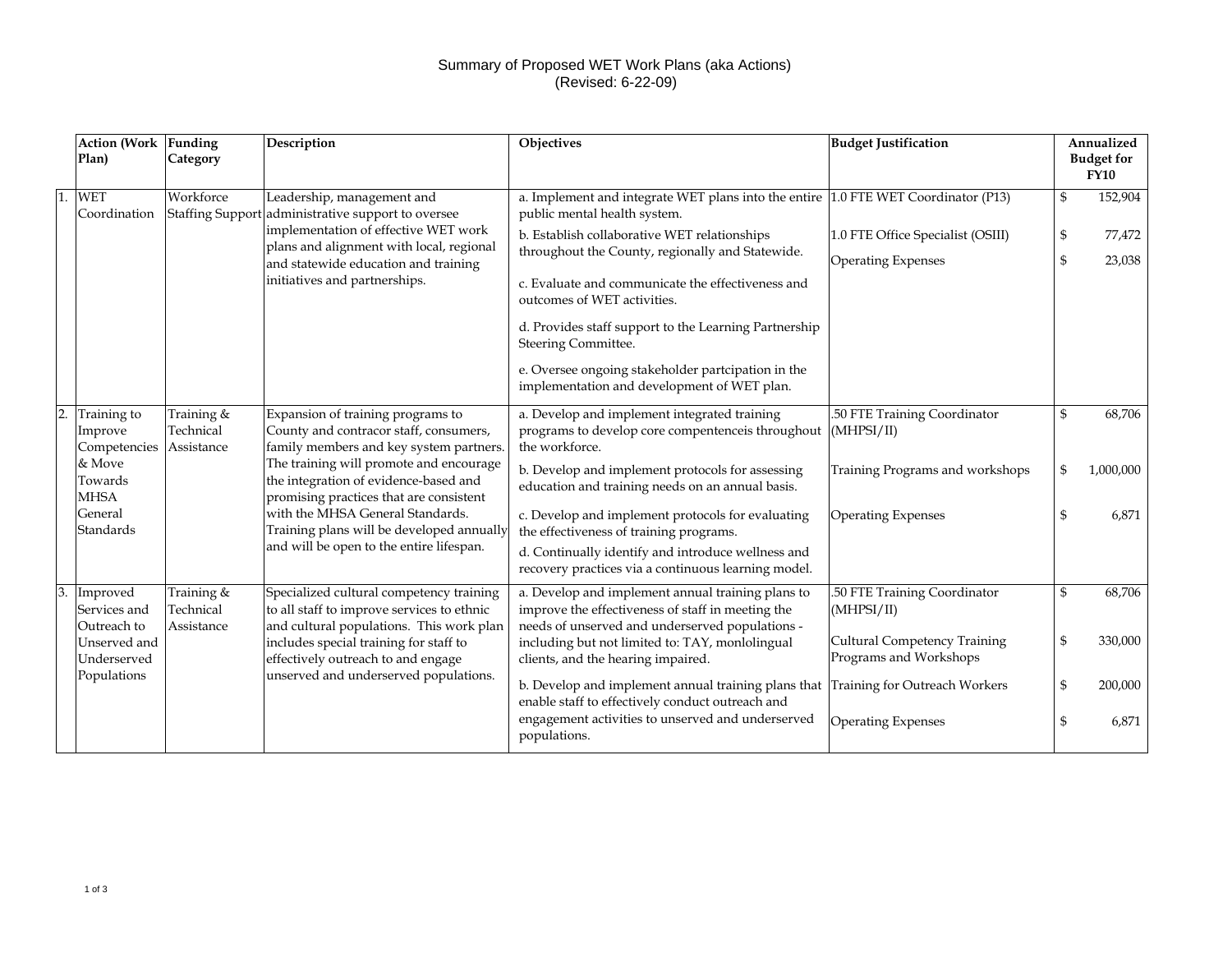## Summary of Proposed WET Work Plans (aka Actions) (Revised: 6-22-09)

|                  | <b>Action (Work</b><br>Plan)            | Funding<br>Category                   | Description                                                                                                                        | Objectives                                                                                                                                                | <b>Budget Justification</b>                                    | Annualized<br><b>Budget for</b><br><b>FY10</b> |                  |
|------------------|-----------------------------------------|---------------------------------------|------------------------------------------------------------------------------------------------------------------------------------|-----------------------------------------------------------------------------------------------------------------------------------------------------------|----------------------------------------------------------------|------------------------------------------------|------------------|
|                  | <b>WET</b><br>Coordination              | Workforce<br><b>Staffing Support</b>  | Leadership, management and<br>administrative support to oversee                                                                    | a. Implement and integrate WET plans into the entire 1.0 FTE WET Coordinator (P13)<br>public mental health system.                                        |                                                                | \$                                             | 152,904          |
|                  |                                         |                                       | implementation of effective WET work<br>plans and alignment with local, regional<br>and statewide education and training           | b. Establish collaborative WET relationships<br>throughout the County, regionally and Statewide.                                                          | 1.0 FTE Office Specialist (OSIII)<br><b>Operating Expenses</b> | \$<br>\$                                       | 77,472<br>23,038 |
|                  |                                         |                                       | initiatives and partnerships.                                                                                                      | c. Evaluate and communicate the effectiveness and<br>outcomes of WET activities.                                                                          |                                                                |                                                |                  |
|                  |                                         |                                       |                                                                                                                                    | d. Provides staff support to the Learning Partnership<br>Steering Committee.                                                                              |                                                                |                                                |                  |
|                  |                                         |                                       |                                                                                                                                    | e. Oversee ongoing stakeholder partcipation in the<br>implementation and development of WET plan.                                                         |                                                                |                                                |                  |
| $\overline{2}$ . | Training to<br>Improve<br>Competencies  | Training &<br>Technical<br>Assistance | Expansion of training programs to<br>County and contracor staff, consumers,<br>family members and key system partners.             | a. Develop and implement integrated training<br>programs to develop core compentenceis throughout<br>the workforce.                                       | 50 FTE Training Coordinator<br>(MHPSI/II)                      | \$                                             | 68,706           |
|                  | & Move<br>Towards<br><b>MHSA</b>        |                                       | The training will promote and encourage<br>the integration of evidence-based and<br>promising practices that are consistent        | b. Develop and implement protocols for assessing<br>education and training needs on an annual basis.                                                      | Training Programs and workshops                                |                                                | 1,000,000        |
|                  | General<br>Standards                    |                                       | with the MHSA General Standards.<br>Training plans will be developed annually                                                      | c. Develop and implement protocols for evaluating<br>the effectiveness of training programs.                                                              | <b>Operating Expenses</b>                                      |                                                | 6.871            |
|                  |                                         |                                       | and will be open to the entire lifespan.                                                                                           | d. Continually identify and introduce wellness and<br>recovery practices via a continuous learning model.                                                 |                                                                |                                                |                  |
| 3.               | Improved<br>Services and<br>Outreach to | Training &<br>Technical<br>Assistance | Specialized cultural competency training<br>to all staff to improve services to ethnic<br>and cultural populations. This work plan | a. Develop and implement annual training plans to<br>improve the effectiveness of staff in meeting the<br>needs of unserved and underserved populations - | .50 FTE Training Coordinator<br>(MHPSI/II)                     |                                                | 68,706           |
|                  | Unserved and<br>Underserved             |                                       | includes special training for staff to<br>effectively outreach to and engage                                                       | including but not limited to: TAY, monlolingual<br>clients, and the hearing impaired.                                                                     | Cultural Competency Training<br>Programs and Workshops         | \$                                             | 330,000          |
|                  | Populations                             |                                       | unserved and underserved populations.                                                                                              | b. Develop and implement annual training plans that<br>enable staff to effectively conduct outreach and                                                   | Training for Outreach Workers                                  | \$                                             | 200,000          |
|                  |                                         |                                       |                                                                                                                                    | engagement activities to unserved and underserved<br>populations.                                                                                         | <b>Operating Expenses</b>                                      | £.                                             | 6,871            |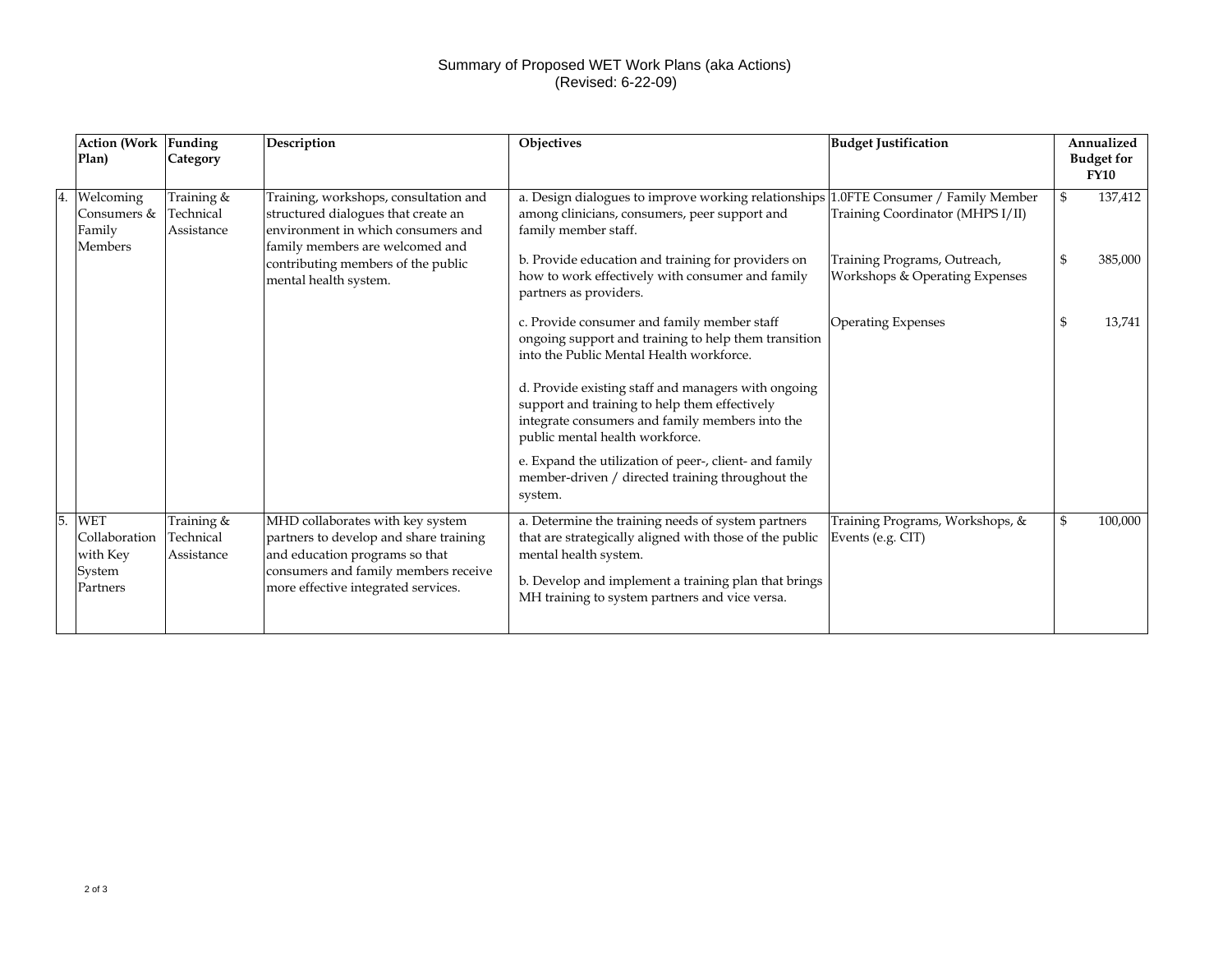## Summary of Proposed WET Work Plans (aka Actions) (Revised: 6-22-09)

|    | <b>Action (Work</b><br>Plan)                                  | Funding<br>Category                   | <b>Description</b>                                                                                                                                                                          | <b>Objectives</b>                                                                                                                                                                                                                                | <b>Budget Justification</b>                                    | Annualized<br><b>Budget for</b><br><b>FY10</b> |
|----|---------------------------------------------------------------|---------------------------------------|---------------------------------------------------------------------------------------------------------------------------------------------------------------------------------------------|--------------------------------------------------------------------------------------------------------------------------------------------------------------------------------------------------------------------------------------------------|----------------------------------------------------------------|------------------------------------------------|
|    | Welcoming<br>Consumers &<br>Family<br><b>Members</b>          | Training &<br>Technical<br>Assistance | Training, workshops, consultation and<br>structured dialogues that create an<br>environment in which consumers and<br>family members are welcomed and                                       | a. Design dialogues to improve working relationships 1.0FTE Consumer / Family Member<br>among clinicians, consumers, peer support and<br>family member staff.                                                                                    | Training Coordinator (MHPS I/II)                               | \$<br>137,412                                  |
|    |                                                               |                                       | contributing members of the public<br>mental health system.                                                                                                                                 | b. Provide education and training for providers on<br>how to work effectively with consumer and family<br>partners as providers.                                                                                                                 | Training Programs, Outreach,<br>Workshops & Operating Expenses | \$<br>385,000                                  |
|    |                                                               |                                       |                                                                                                                                                                                             | c. Provide consumer and family member staff<br>ongoing support and training to help them transition<br>into the Public Mental Health workforce.                                                                                                  | <b>Operating Expenses</b>                                      | 13,741                                         |
|    |                                                               |                                       |                                                                                                                                                                                             | d. Provide existing staff and managers with ongoing<br>support and training to help them effectively<br>integrate consumers and family members into the<br>public mental health workforce.                                                       |                                                                |                                                |
|    |                                                               |                                       |                                                                                                                                                                                             | e. Expand the utilization of peer-, client- and family<br>member-driven / directed training throughout the<br>system.                                                                                                                            |                                                                |                                                |
| 5. | <b>WET</b><br>Collaboration<br>with Key<br>System<br>Partners | Training &<br>Technical<br>Assistance | MHD collaborates with key system<br>partners to develop and share training<br>and education programs so that<br>consumers and family members receive<br>more effective integrated services. | a. Determine the training needs of system partners<br>that are strategically aligned with those of the public<br>mental health system.<br>b. Develop and implement a training plan that brings<br>MH training to system partners and vice versa. | Training Programs, Workshops, &<br>Events (e.g. CIT)           | 100,000                                        |